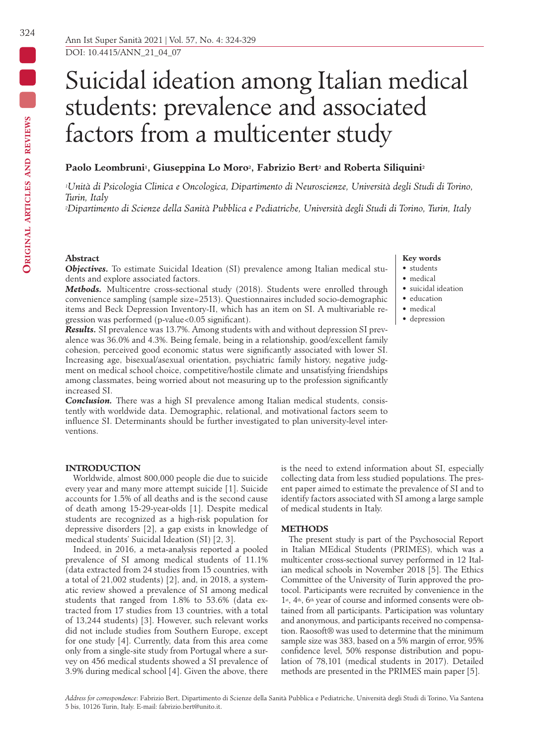# Suicidal ideation among Italian medical students: prevalence and associated factors from a multicenter study

# Paolo Leombruni<sup>1</sup>, Giuseppina Lo Moro<sup>2</sup>, Fabrizio Bert<sup>2</sup> and Roberta Siliquini<sup>2</sup>

*1Unità di Psicologia Clinica e Oncologica, Dipartimento di Neuroscienze, Università degli Studi di Torino, Turin, Italy*

*2Dipartimento di Scienze della Sanità Pubblica e Pediatriche, Università degli Studi di Torino, Turin, Italy*

## **Abstract**

*Objectives.* To estimate Suicidal Ideation (SI) prevalence among Italian medical students and explore associated factors.

*Methods.* Multicentre cross-sectional study (2018). Students were enrolled through convenience sampling (sample size=2513). Questionnaires included socio-demographic items and Beck Depression Inventory-II, which has an item on SI. A multivariable regression was performed (p-value<0.05 significant).

*Results.* SI prevalence was 13.7%. Among students with and without depression SI prevalence was 36.0% and 4.3%. Being female, being in a relationship, good/excellent family cohesion, perceived good economic status were significantly associated with lower SI. Increasing age, bisexual/asexual orientation, psychiatric family history, negative judgment on medical school choice, competitive/hostile climate and unsatisfying friendships among classmates, being worried about not measuring up to the profession significantly increased SI.

*Conclusion.* There was a high SI prevalence among Italian medical students, consistently with worldwide data. Demographic, relational, and motivational factors seem to influence SI. Determinants should be further investigated to plan university-level interventions.

# **Key words**

- students
- medical
- suicidal ideation
- education
- medical
- depression

# **INTRODUCTION**

Worldwide, almost 800,000 people die due to suicide every year and many more attempt suicide [1]. Suicide accounts for 1.5% of all deaths and is the second cause of death among 15-29-year-olds [1]. Despite medical students are recognized as a high-risk population for depressive disorders [2], a gap exists in knowledge of medical students' Suicidal Ideation (SI) [2, 3].

Indeed, in 2016, a meta-analysis reported a pooled prevalence of SI among medical students of 11.1% (data extracted from 24 studies from 15 countries, with a total of 21,002 students) [2], and, in 2018, a systematic review showed a prevalence of SI among medical students that ranged from 1.8% to 53.6% (data extracted from 17 studies from 13 countries, with a total of 13,244 students) [3]. However, such relevant works did not include studies from Southern Europe, except for one study [4]. Currently, data from this area come only from a single-site study from Portugal where a survey on 456 medical students showed a SI prevalence of 3.9% during medical school [4]. Given the above, there

is the need to extend information about SI, especially collecting data from less studied populations. The present paper aimed to estimate the prevalence of SI and to identify factors associated with SI among a large sample of medical students in Italy.

## **METHODS**

The present study is part of the Psychosocial Report in Italian MEdical Students (PRIMES), which was a multicenter cross-sectional survey performed in 12 Italian medical schools in November 2018 [5]. The Ethics Committee of the University of Turin approved the protocol. Participants were recruited by convenience in the 1st, 4th, 6th year of course and informed consents were obtained from all participants. Participation was voluntary and anonymous, and participants received no compensation. Raosoft® was used to determine that the minimum sample size was 383, based on a 5% margin of error, 95% confidence level, 50% response distribution and population of 78,101 (medical students in 2017). Detailed methods are presented in the PRIMES main paper [5].

*Address for correspondence*: Fabrizio Bert, Dipartimento di Scienze della Sanità Pubblica e Pediatriche, Università degli Studi di Torino, Via Santena 5 bis, 10126 Turin, Italy. E-mail: fabrizio.bert@unito.it.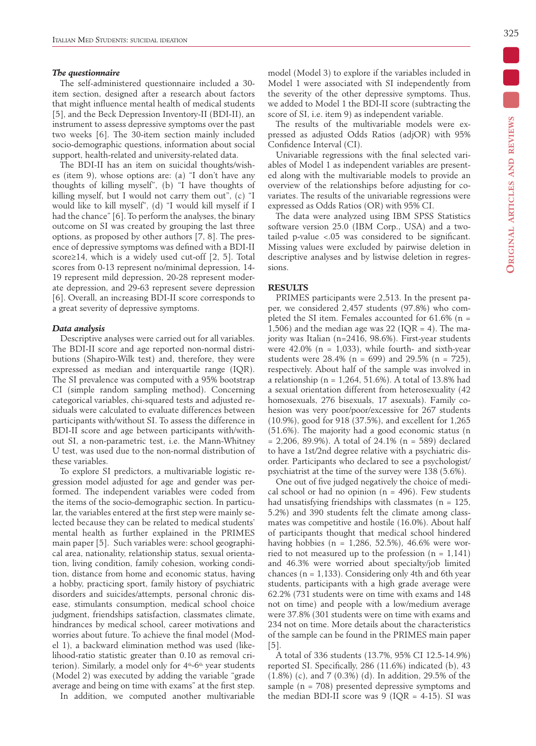# *The questionnaire*

The self-administered questionnaire included a 30 item section, designed after a research about factors that might influence mental health of medical students [5], and the Beck Depression Inventory-II (BDI-II), an instrument to assess depressive symptoms over the past two weeks [6]. The 30-item section mainly included socio-demographic questions, information about social support, health-related and university-related data.

The BDI-II has an item on suicidal thoughts/wishes (item 9), whose options are: (a) "I don't have any thoughts of killing myself", (b) "I have thoughts of killing myself, but I would not carry them out", (c) "I would like to kill myself", (d) "I would kill myself if I had the chance" [6]. To perform the analyses, the binary outcome on SI was created by grouping the last three options, as proposed by other authors [7, 8]. The presence of depressive symptoms was defined with a BDI-II score≥14, which is a widely used cut-off [2, 5]. Total scores from 0-13 represent no/minimal depression, 14- 19 represent mild depression, 20-28 represent moderate depression, and 29-63 represent severe depression [6]. Overall, an increasing BDI-II score corresponds to a great severity of depressive symptoms.

## *Data analysis*

Descriptive analyses were carried out for all variables. The BDI-II score and age reported non-normal distributions (Shapiro-Wilk test) and, therefore, they were expressed as median and interquartile range (IQR). The SI prevalence was computed with a 95% bootstrap CI (simple random sampling method). Concerning categorical variables, chi-squared tests and adjusted residuals were calculated to evaluate differences between participants with/without SI. To assess the difference in BDI-II score and age between participants with/without SI, a non-parametric test, i.e. the Mann-Whitney U test, was used due to the non-normal distribution of these variables.

To explore SI predictors, a multivariable logistic regression model adjusted for age and gender was performed. The independent variables were coded from the items of the socio-demographic section. In particular, the variables entered at the first step were mainly selected because they can be related to medical students' mental health as further explained in the PRIMES main paper [5]. Such variables were: school geographical area, nationality, relationship status, sexual orientation, living condition, family cohesion, working condition, distance from home and economic status, having a hobby, practicing sport, family history of psychiatric disorders and suicides/attempts, personal chronic disease, stimulants consumption, medical school choice judgment, friendships satisfaction, classmates climate, hindrances by medical school, career motivations and worries about future. To achieve the final model (Model 1), a backward elimination method was used (likelihood-ratio statistic greater than 0.10 as removal criterion). Similarly, a model only for 4th-6th year students (Model 2) was executed by adding the variable "grade average and being on time with exams" at the first step.

In addition, we computed another multivariable

model (Model 3) to explore if the variables included in Model 1 were associated with SI independently from the severity of the other depressive symptoms. Thus, we added to Model 1 the BDI-II score (subtracting the score of SI, i.e. item 9) as independent variable.

The results of the multivariable models were expressed as adjusted Odds Ratios (adjOR) with 95% Confidence Interval (CI).

Univariable regressions with the final selected variables of Model 1 as independent variables are presented along with the multivariable models to provide an overview of the relationships before adjusting for covariates. The results of the univariable regressions were expressed as Odds Ratios (OR) with 95% CI.

The data were analyzed using IBM SPSS Statistics software version 25.0 (IBM Corp., USA) and a twotailed p-value <.05 was considered to be significant. Missing values were excluded by pairwise deletion in descriptive analyses and by listwise deletion in regressions.

## **RESULTS**

PRIMES participants were 2,513. In the present paper, we considered 2,457 students (97.8%) who completed the SI item. Females accounted for  $61.6\%$  (n = 1,506) and the median age was 22 (IQR = 4). The majority was Italian (n=2416, 98.6%). First-year students were  $42.0\%$  (n = 1,033), while fourth- and sixth-year students were  $28.4\%$  (n = 699) and  $29.5\%$  (n = 725), respectively. About half of the sample was involved in a relationship ( $n = 1,264, 51.6\%$ ). A total of 13.8% had a sexual orientation different from heterosexuality (42 homosexuals, 276 bisexuals, 17 asexuals). Family cohesion was very poor/poor/excessive for 267 students (10.9%), good for 918 (37.5%), and excellent for 1,265 (51.6%). The majority had a good economic status (n  $= 2,206, 89.9%$ ). A total of 24.1% (n = 589) declared to have a 1st/2nd degree relative with a psychiatric disorder. Participants who declared to see a psychologist/ psychiatrist at the time of the survey were 138 (5.6%).

One out of five judged negatively the choice of medical school or had no opinion  $(n = 496)$ . Few students had unsatisfying friendships with classmates  $(n = 125)$ , 5.2%) and 390 students felt the climate among classmates was competitive and hostile (16.0%). About half of participants thought that medical school hindered having hobbies ( $n = 1,286, 52.5\%$ ), 46.6% were worried to not measured up to the profession  $(n = 1,141)$ and 46.3% were worried about specialty/job limited chances ( $n = 1,133$ ). Considering only 4th and 6th year students, participants with a high grade average were 62.2% (731 students were on time with exams and 148 not on time) and people with a low/medium average were 37.8% (301 students were on time with exams and 234 not on time. More details about the characteristics of the sample can be found in the PRIMES main paper [5].

A total of 336 students (13.7%, 95% CI 12.5-14.9%) reported SI. Specifically, 286 (11.6%) indicated (b), 43 (1.8%) (c), and 7 (0.3%) (d). In addition, 29.5% of the sample ( $n = 708$ ) presented depressive symptoms and the median BDI-II score was  $9$  (IQR = 4-15). SI was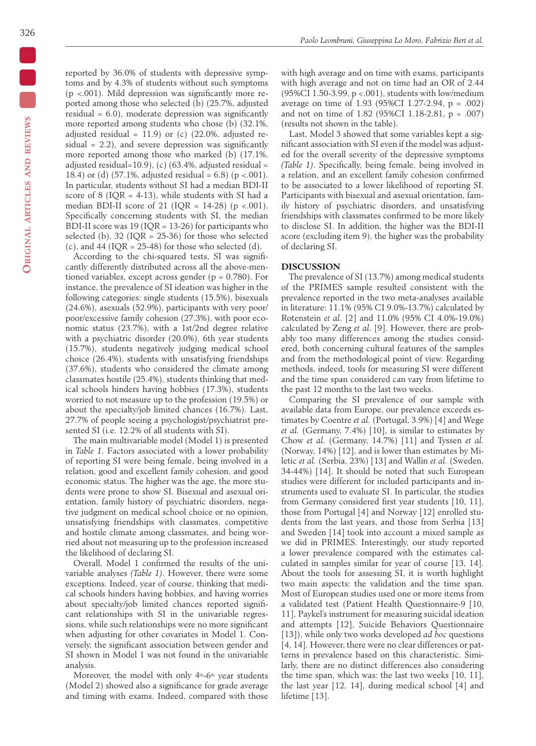reported by 36.0% of students with depressive symptoms and by 4.3% of students without such symptoms (p <.001). Mild depression was significantly more reported among those who selected (b) (25.7%, adjusted residual  $= 6.0$ ), moderate depression was significantly more reported among students who chose (b) (32.1%, adjusted residual =  $11.9$ ) or (c) (22.0%, adjusted residual  $= 2.2$ ), and severe depression was significantly more reported among those who marked (b) (17.1%, adjusted residual=10.9), (c) (63.4%, adjusted residual = 18.4) or (d) (57.1%, adjusted residual =  $6.8$ ) (p <.001). In particular, students without SI had a median BDI-II score of 8 (IQR = 4-13), while students with SI had a median BDI-II score of 21 (IQR = 14-28) ( $p < .001$ ). Specifically concerning students with SI, the median BDI-II score was  $19$  (IQR = 13-26) for participants who selected (b),  $32$  (IOR = 25-36) for those who selected (c), and 44 (IQR =  $25-48$ ) for those who selected (d).

According to the chi-squared tests, SI was significantly differently distributed across all the above-mentioned variables, except across gender ( $p = 0.780$ ). For instance, the prevalence of SI ideation was higher in the following categories: single students (15.5%), bisexuals (24.6%), asexuals (52.9%), participants with very poor/ poor/excessive family cohesion (27.3%), with poor economic status (23.7%), with a 1st/2nd degree relative with a psychiatric disorder (20.0%), 6th year students (15.7%), students negatively judging medical school choice (26.4%), students with unsatisfying friendships (37.6%), students who considered the climate among classmates hostile (25.4%), students thinking that medical schools hinders having hobbies (17.3%), students worried to not measure up to the profession (19.5%) or about the specialty/job limited chances (16.7%). Last, 27.7% of people seeing a psychologist/psychiatrist presented SI (i.e. 12.2% of all students with SI).

The main multivariable model (Model 1) is presented in *Table 1*. Factors associated with a lower probability of reporting SI were being female, being involved in a relation, good and excellent family cohesion, and good economic status. The higher was the age, the more students were prone to show SI. Bisexual and asexual orientation, family history of psychiatric disorders, negative judgment on medical school choice or no opinion, unsatisfying friendships with classmates, competitive and hostile climate among classmates, and being worried about not measuring up to the profession increased the likelihood of declaring SI.

Overall, Model 1 confirmed the results of the univariable analyses *(Table 1)*. However, there were some exceptions. Indeed, year of course, thinking that medical schools hinders having hobbies, and having worries about specialty/job limited chances reported significant relationships with SI in the univariable regressions, while such relationships were no more significant when adjusting for other covariates in Model 1. Conversely, the significant association between gender and SI shown in Model 1 was not found in the univariable analysis.

Moreover, the model with only 4<sup>th</sup>-6<sup>th</sup> year students (Model 2) showed also a significance for grade average and timing with exams. Indeed, compared with those

with high average and on time with exams, participants with high average and not on time had an OR of 2.44 (95%CI 1.50-3.99, p <.001), students with low/medium average on time of 1.93 (95%CI 1.27-2.94, p = .002) and not on time of 1.82 (95%CI 1.18-2.81, p = .007) (results not shown in the table).

Last, Model 3 showed that some variables kept a significant association with SI even if the model was adjusted for the overall severity of the depressive symptoms *(Table 1)*. Specifically, being female, being involved in a relation, and an excellent family cohesion confirmed to be associated to a lower likelihood of reporting SI. Participants with bisexual and asexual orientation, family history of psychiatric disorders, and unsatisfying friendships with classmates confirmed to be more likely to disclose SI. In addition, the higher was the BDI-II score (excluding item 9), the higher was the probability of declaring SI.

# **DISCUSSION**

The prevalence of SI (13.7%) among medical students of the PRIMES sample resulted consistent with the prevalence reported in the two meta-analyses available in literature: 11.1% (95% CI 9.0%-13.7%) calculated by Rotenstein *et al*. [2] and 11.0% (95% CI 4.0%-19.0%) calculated by Zeng *et al*. [9]. However, there are probably too many differences among the studies considered, both concerning cultural features of the samples and from the methodological point of view. Regarding methods, indeed, tools for measuring SI were different and the time span considered can vary from lifetime to the past 12 months to the last two weeks.

Comparing the SI prevalence of our sample with available data from Europe, our prevalence exceeds estimates by Coentre *et al.* (Portugal, 3.9%) [4] and Wege *et al.* (Germany, 7.4%) [10], is similar to estimates by Chow *et al.* (Germany, 14.7%) [11] and Tyssen *et al.* (Norway, 14%) [12], and is lower than estimates by Miletic *et al.* (Serbia, 23%) [13] and Wallin *et al.* (Sweden, 34-44%) [14]. It should be noted that such European studies were different for included participants and instruments used to evaluate SI. In particular, the studies from Germany considered first year students [10, 11], those from Portugal [4] and Norway [12] enrolled students from the last years, and those from Serbia [13] and Sweden [14] took into account a mixed sample as we did in PRIMES. Interestingly, our study reported a lower prevalence compared with the estimates calculated in samples similar for year of course [13, 14]. About the tools for assessing SI, it is worth highlight two main aspects: the validation and the time span. Most of European studies used one or more items from a validated test (Patient Health Questionnaire-9 [10, 11], Paykel's instrument for measuring suicidal ideation and attempts [12], Suicide Behaviors Questionnaire [13]), while only two works developed *ad hoc* questions [4, 14]. However, there were no clear differences or patterns in prevalence based on this characteristic. Similarly, there are no distinct differences also considering the time span, which was: the last two weeks [10, 11], the last year [12, 14], during medical school [4] and lifetime [13].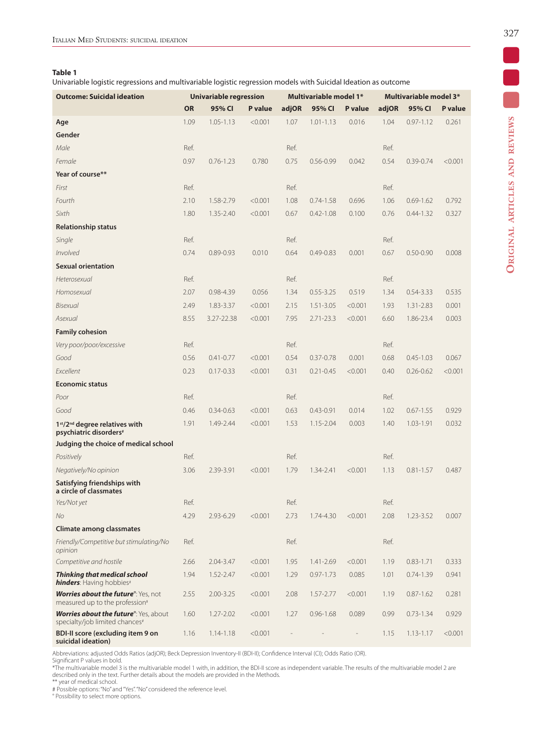# **Table 1**

Univariable logistic regressions and multivariable logistic regression models with Suicidal Ideation as outcome

| <b>Outcome: Suicidal ideation</b>                                                              | <b>Univariable regression</b> |               |         | Multivariable model 1* |               |         | <b>Multivariable model 3*</b> |               |                |
|------------------------------------------------------------------------------------------------|-------------------------------|---------------|---------|------------------------|---------------|---------|-------------------------------|---------------|----------------|
|                                                                                                | <b>OR</b>                     | 95% CI        | P value | adjOR                  | 95% CI        | P value | adjOR                         | 95% CI        | <b>P</b> value |
| Age                                                                                            | 1.09                          | $1.05 - 1.13$ | < 0.001 | 1.07                   | $1.01 - 1.13$ | 0.016   | 1.04                          | $0.97 - 1.12$ | 0.261          |
| Gender                                                                                         |                               |               |         |                        |               |         |                               |               |                |
| Male                                                                                           | Ref.                          |               |         | Ref.                   |               |         | Ref.                          |               |                |
| Female                                                                                         | 0.97                          | $0.76 - 1.23$ | 0.780   | 0.75                   | $0.56 - 0.99$ | 0.042   | 0.54                          | 0.39-0.74     | < 0.001        |
| Year of course**                                                                               |                               |               |         |                        |               |         |                               |               |                |
| First                                                                                          | Ref.                          |               |         | Ref.                   |               |         | Ref.                          |               |                |
| Fourth                                                                                         | 2.10                          | 1.58-2.79     | < 0.001 | 1.08                   | $0.74 - 1.58$ | 0.696   | 1.06                          | $0.69 - 1.62$ | 0.792          |
| Sixth                                                                                          | 1.80                          | 1.35-2.40     | < 0.001 | 0.67                   | $0.42 - 1.08$ | 0.100   | 0.76                          | $0.44 - 1.32$ | 0.327          |
| <b>Relationship status</b>                                                                     |                               |               |         |                        |               |         |                               |               |                |
| Single                                                                                         | Ref.                          |               |         | Ref.                   |               |         | Ref.                          |               |                |
| Involved                                                                                       | 0.74                          | $0.89 - 0.93$ | 0.010   | 0.64                   | $0.49 - 0.83$ | 0.001   | 0.67                          | $0.50 - 0.90$ | 0.008          |
| <b>Sexual orientation</b>                                                                      |                               |               |         |                        |               |         |                               |               |                |
| Heterosexual                                                                                   | Ref.                          |               |         | Ref.                   |               |         | Ref.                          |               |                |
| Homosexual                                                                                     | 2.07                          | 0.98-4.39     | 0.056   | 1.34                   | $0.55 - 3.25$ | 0.519   | 1.34                          | $0.54 - 3.33$ | 0.535          |
| Bisexual                                                                                       | 2.49                          | 1.83-3.37     | < 0.001 | 2.15                   | $1.51 - 3.05$ | < 0.001 | 1.93                          | $1.31 - 2.83$ | 0.001          |
| Asexual                                                                                        | 8.55                          | 3.27-22.38    | < 0.001 | 7.95                   | $2.71 - 23.3$ | < 0.001 | 6.60                          | 1.86-23.4     | 0.003          |
| <b>Family cohesion</b>                                                                         |                               |               |         |                        |               |         |                               |               |                |
| Very poor/poor/excessive                                                                       | Ref.                          |               |         | Ref.                   |               |         | Ref.                          |               |                |
| Good                                                                                           | 0.56                          | $0.41 - 0.77$ | < 0.001 | 0.54                   | $0.37 - 0.78$ | 0.001   | 0.68                          | $0.45 - 1.03$ | 0.067          |
| Excellent                                                                                      | 0.23                          | $0.17 - 0.33$ | < 0.001 | 0.31                   | $0.21 - 0.45$ | < 0.001 | 0.40                          | $0.26 - 0.62$ | < 0.001        |
| <b>Economic status</b>                                                                         |                               |               |         |                        |               |         |                               |               |                |
| Poor                                                                                           | Ref.                          |               |         | Ref.                   |               |         | Ref.                          |               |                |
| Good                                                                                           | 0.46                          | $0.34 - 0.63$ | < 0.001 | 0.63                   | $0.43 - 0.91$ | 0.014   | 1.02                          | $0.67 - 1.55$ | 0.929          |
| 1st/2 <sup>nd</sup> degree relatives with<br>psychiatric disorders#                            | 1.91                          | 1.49-2.44     | < 0.001 | 1.53                   | 1.15-2.04     | 0.003   | 1.40                          | 1.03-1.91     | 0.032          |
| Judging the choice of medical school                                                           |                               |               |         |                        |               |         |                               |               |                |
| Positively                                                                                     | Ref.                          |               |         | Ref.                   |               |         | Ref.                          |               |                |
| Negatively/No opinion                                                                          | 3.06                          | 2.39-3.91     | < 0.001 | 1.79                   | 1.34-2.41     | < 0.001 | 1.13                          | $0.81 - 1.57$ | 0.487          |
| Satisfying friendships with<br>a circle of classmates                                          |                               |               |         |                        |               |         |                               |               |                |
| Yes/Not yet                                                                                    | Ref.                          |               |         | Ref.                   |               |         | Ref.                          |               |                |
| No                                                                                             | 4.29                          | 2.93-6.29     | < 0.001 | 2.73                   | 1.74-4.30     | < 0.001 | 2.08                          | 1.23-3.52     | 0.007          |
| Climate among classmates                                                                       |                               |               |         |                        |               |         |                               |               |                |
| Friendly/Competitive but stimulating/No<br>opinion                                             | Ref.                          |               |         | Ref.                   |               |         | Ref.                          |               |                |
| Competitive and hostile                                                                        | 2.66                          | $2.04 - 3.47$ | < 0.001 | 1.95                   | 1.41-2.69     | < 0.001 | 1.19                          | $0.83 - 1.71$ | 0.333          |
| <b>Thinking that medical school</b><br>hinders: Having hobbies#                                | 1.94                          | $1.52 - 2.47$ | < 0.001 | 1.29                   | $0.97 - 1.73$ | 0.085   | 1.01                          | $0.74 - 1.39$ | 0.941          |
| Worries about the future <sup>o</sup> : Yes, not<br>measured up to the profession <sup>#</sup> | 2.55                          | $2.00 - 3.25$ | < 0.001 | 2.08                   | 1.57-2.77     | < 0.001 | 1.19                          | $0.87 - 1.62$ | 0.281          |
| <b>Worries about the future</b> <sup>o</sup> : Yes, about<br>specialty/job limited chances#    | 1.60                          | 1.27-2.02     | < 0.001 | 1.27                   | $0.96 - 1.68$ | 0.089   | 0.99                          | $0.73 - 1.34$ | 0.929          |
| BDI-II score (excluding item 9 on<br>suicidal ideation)                                        | 1.16                          | $1.14 - 1.18$ | < 0.001 |                        |               |         | 1.15                          | $1.13 - 1.17$ | < 0.001        |

Abbreviations: adjusted Odds Ratios (adjOR); Beck Depression Inventory-II (BDI-II); Confidence Interval (CI); Odds Ratio (OR).

Significant P values in bold.<br>\*The multivariable model 3 is the multivariable model 1 with, in addition, the BDI-II score as independent variable. The results of the multivariable model 2 are<br>described only in the text. Fu

° Possibility to select more options.

 $\overline{\phantom{a}}$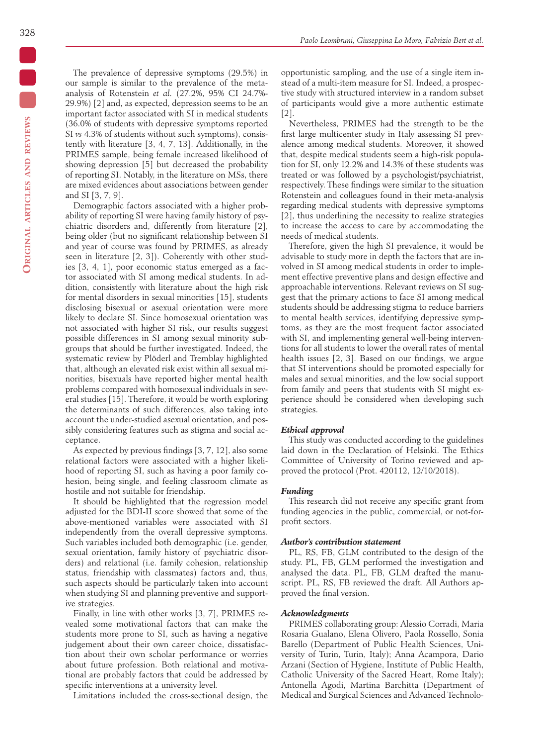The prevalence of depressive symptoms (29.5%) in our sample is similar to the prevalence of the metaanalysis of Rotenstein *et al.* (27.2%, 95% CI 24.7%- 29.9%) [2] and, as expected, depression seems to be an important factor associated with SI in medical students (36.0% of students with depressive symptoms reported SI *vs* 4.3% of students without such symptoms), consistently with literature [3, 4, 7, 13]. Additionally, in the PRIMES sample, being female increased likelihood of showing depression [5] but decreased the probability of reporting SI. Notably, in the literature on MSs, there are mixed evidences about associations between gender and SI [3, 7, 9].

Demographic factors associated with a higher probability of reporting SI were having family history of psychiatric disorders and, differently from literature [2], being older (but no significant relationship between SI and year of course was found by PRIMES, as already seen in literature [2, 3]). Coherently with other studies [3, 4, 1], poor economic status emerged as a factor associated with SI among medical students. In addition, consistently with literature about the high risk for mental disorders in sexual minorities [15], students disclosing bisexual or asexual orientation were more likely to declare SI. Since homosexual orientation was not associated with higher SI risk, our results suggest possible differences in SI among sexual minority subgroups that should be further investigated. Indeed, the systematic review by Plöderl and Tremblay highlighted that, although an elevated risk exist within all sexual minorities, bisexuals have reported higher mental health problems compared with homosexual individuals in several studies [15]. Therefore, it would be worth exploring the determinants of such differences, also taking into account the under-studied asexual orientation, and possibly considering features such as stigma and social acceptance.

As expected by previous findings [3, 7, 12], also some relational factors were associated with a higher likelihood of reporting SI, such as having a poor family cohesion, being single, and feeling classroom climate as hostile and not suitable for friendship.

It should be highlighted that the regression model adjusted for the BDI-II score showed that some of the above-mentioned variables were associated with SI independently from the overall depressive symptoms. Such variables included both demographic (i.e. gender, sexual orientation, family history of psychiatric disorders) and relational (i.e. family cohesion, relationship status, friendship with classmates) factors and, thus, such aspects should be particularly taken into account when studying SI and planning preventive and supportive strategies.

Finally, in line with other works [3, 7], PRIMES revealed some motivational factors that can make the students more prone to SI, such as having a negative judgement about their own career choice, dissatisfaction about their own scholar performance or worries about future profession. Both relational and motivational are probably factors that could be addressed by specific interventions at a university level.

Limitations included the cross-sectional design, the

opportunistic sampling, and the use of a single item instead of a multi-item measure for SI. Indeed, a prospective study with structured interview in a random subset of participants would give a more authentic estimate [2].

Nevertheless, PRIMES had the strength to be the first large multicenter study in Italy assessing SI prevalence among medical students. Moreover, it showed that, despite medical students seem a high-risk population for SI, only 12.2% and 14.3% of these students was treated or was followed by a psychologist/psychiatrist, respectively. These findings were similar to the situation Rotenstein and colleagues found in their meta-analysis regarding medical students with depressive symptoms [2], thus underlining the necessity to realize strategies to increase the access to care by accommodating the needs of medical students.

Therefore, given the high SI prevalence, it would be advisable to study more in depth the factors that are involved in SI among medical students in order to implement effective preventive plans and design effective and approachable interventions. Relevant reviews on SI suggest that the primary actions to face SI among medical students should be addressing stigma to reduce barriers to mental health services, identifying depressive symptoms, as they are the most frequent factor associated with SI, and implementing general well-being interventions for all students to lower the overall rates of mental health issues [2, 3]. Based on our findings, we argue that SI interventions should be promoted especially for males and sexual minorities, and the low social support from family and peers that students with SI might experience should be considered when developing such strategies.

#### *Ethical approval*

This study was conducted according to the guidelines laid down in the Declaration of Helsinki. The Ethics Committee of University of Torino reviewed and approved the protocol (Prot. 420112, 12/10/2018).

#### *Funding*

This research did not receive any specific grant from funding agencies in the public, commercial, or not-forprofit sectors.

#### *Author's contribution statement*

PL, RS, FB, GLM contributed to the design of the study. PL, FB, GLM performed the investigation and analysed the data. PL, FB, GLM drafted the manuscript. PL, RS, FB reviewed the draft. All Authors approved the final version.

#### *Acknowledgments*

PRIMES collaborating group: Alessio Corradi, Maria Rosaria Gualano, Elena Olivero, Paola Rossello, Sonia Barello (Department of Public Health Sciences, University of Turin, Turin, Italy); Anna Acampora, Dario Arzani (Section of Hygiene, Institute of Public Health, Catholic University of the Sacred Heart, Rome Italy); Antonella Agodi, Martina Barchitta (Department of Medical and Surgical Sciences and Advanced Technolo